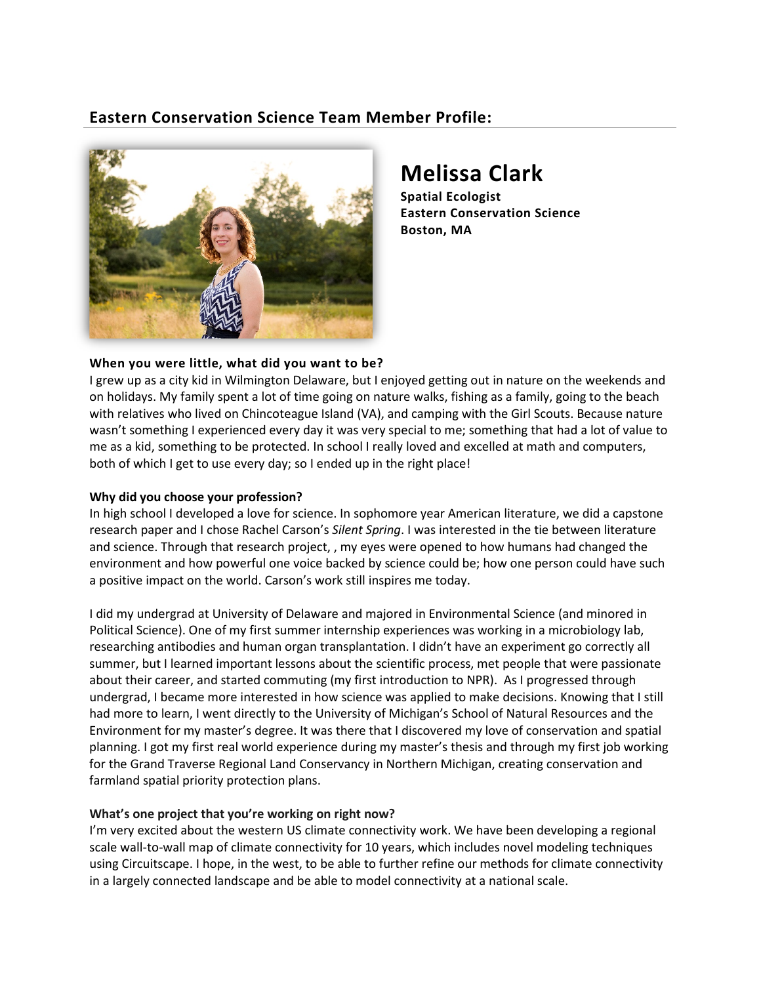# **Eastern Conservation Science Team Member Profile:**



# **Melissa Clark**

**Spatial Ecologist Eastern Conservation Science Boston, MA**

### **When you were little, what did you want to be?**

I grew up as a city kid in Wilmington Delaware, but I enjoyed getting out in nature on the weekends and on holidays. My family spent a lot of time going on nature walks, fishing as a family, going to the beach with relatives who lived on Chincoteague Island (VA), and camping with the Girl Scouts. Because nature wasn't something I experienced every day it was very special to me; something that had a lot of value to me as a kid, something to be protected. In school I really loved and excelled at math and computers, both of which I get to use every day; so I ended up in the right place!

#### **Why did you choose your profession?**

In high school I developed a love for science. In sophomore year American literature, we did a capstone research paper and I chose Rachel Carson's *Silent Spring*. I was interested in the tie between literature and science. Through that research project, , my eyes were opened to how humans had changed the environment and how powerful one voice backed by science could be; how one person could have such a positive impact on the world. Carson's work still inspires me today.

I did my undergrad at University of Delaware and majored in Environmental Science (and minored in Political Science). One of my first summer internship experiences was working in a microbiology lab, researching antibodies and human organ transplantation. I didn't have an experiment go correctly all summer, but I learned important lessons about the scientific process, met people that were passionate about their career, and started commuting (my first introduction to NPR). As I progressed through undergrad, I became more interested in how science was applied to make decisions. Knowing that I still had more to learn, I went directly to the University of Michigan's School of Natural Resources and the Environment for my master's degree. It was there that I discovered my love of conservation and spatial planning. I got my first real world experience during my master's thesis and through my first job working for the Grand Traverse Regional Land Conservancy in Northern Michigan, creating conservation and farmland spatial priority protection plans.

## **What's one project that you're working on right now?**

I'm very excited about the western US climate connectivity work. We have been developing a regional scale wall-to-wall map of climate connectivity for 10 years, which includes novel modeling techniques using Circuitscape. I hope, in the west, to be able to further refine our methods for climate connectivity in a largely connected landscape and be able to model connectivity at a national scale.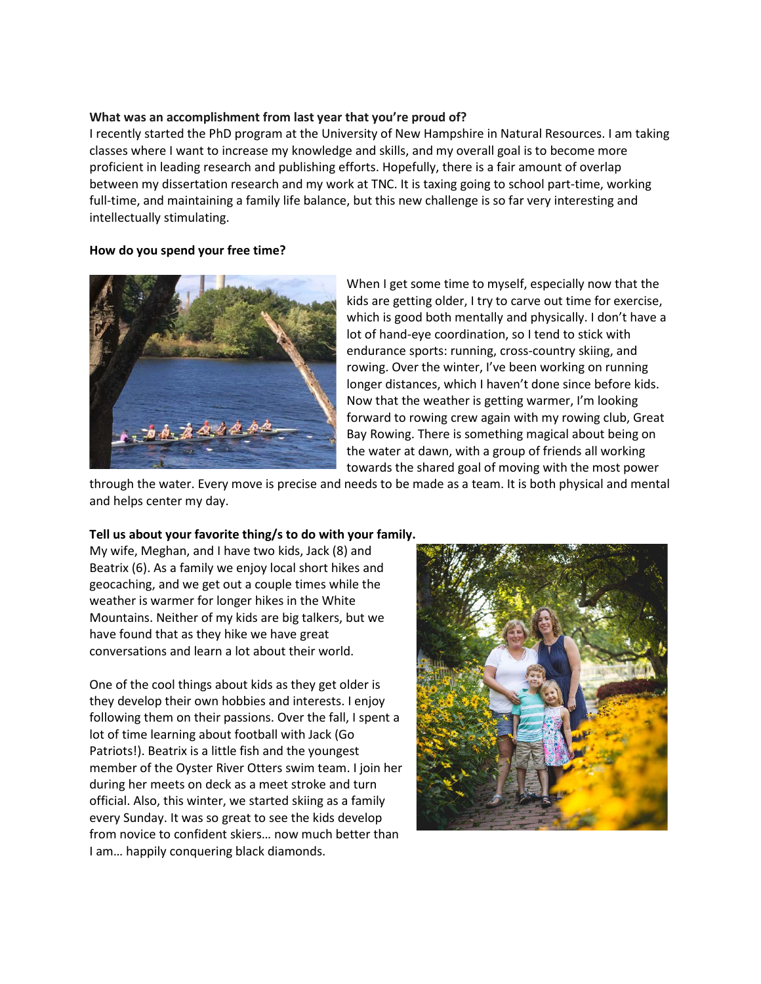#### **What was an accomplishment from last year that you're proud of?**

I recently started the PhD program at the University of New Hampshire in Natural Resources. I am taking classes where I want to increase my knowledge and skills, and my overall goal is to become more proficient in leading research and publishing efforts. Hopefully, there is a fair amount of overlap between my dissertation research and my work at TNC. It is taxing going to school part-time, working full-time, and maintaining a family life balance, but this new challenge is so far very interesting and intellectually stimulating.

#### **How do you spend your free time?**



When I get some time to myself, especially now that the kids are getting older, I try to carve out time for exercise, which is good both mentally and physically. I don't have a lot of hand-eye coordination, so I tend to stick with endurance sports: running, cross-country skiing, and rowing. Over the winter, I've been working on running longer distances, which I haven't done since before kids. Now that the weather is getting warmer, I'm looking forward to rowing crew again with my rowing club, Great Bay Rowing. There is something magical about being on the water at dawn, with a group of friends all working towards the shared goal of moving with the most power

through the water. Every move is precise and needs to be made as a team. It is both physical and mental and helps center my day.

#### **Tell us about your favorite thing/s to do with your family.**

My wife, Meghan, and I have two kids, Jack (8) and Beatrix (6). As a family we enjoy local short hikes and geocaching, and we get out a couple times while the weather is warmer for longer hikes in the White Mountains. Neither of my kids are big talkers, but we have found that as they hike we have great conversations and learn a lot about their world.

One of the cool things about kids as they get older is they develop their own hobbies and interests. I enjoy following them on their passions. Over the fall, I spent a lot of time learning about football with Jack (Go Patriots!). Beatrix is a little fish and the youngest member of the Oyster River Otters swim team. I join her during her meets on deck as a meet stroke and turn official. Also, this winter, we started skiing as a family every Sunday. It was so great to see the kids develop from novice to confident skiers… now much better than I am… happily conquering black diamonds.